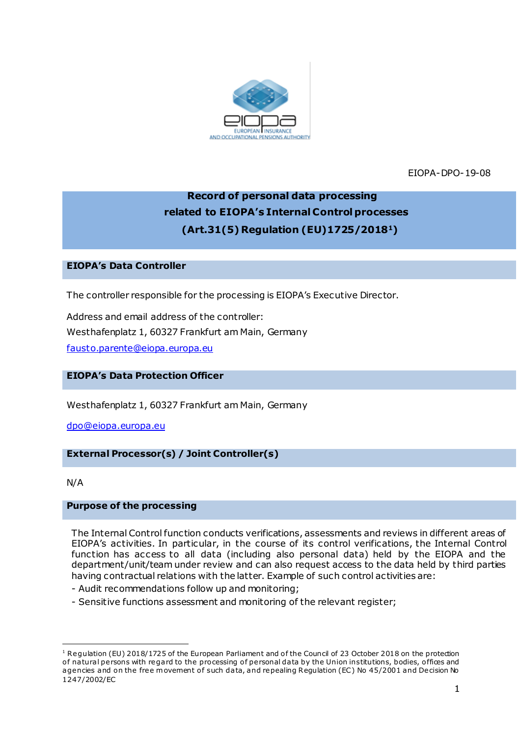

EIOPA-DPO-19-08

# **Record of personal data processing related to EIOPA's Internal Control processes (Art.31(5) Regulation (EU)1725/20181)**

## **EIOPA's Data Controller**

The controller responsible for the processing is EIOPA's Executive Director.

Address and email address of the controller: Westhafenplatz 1, 60327 Frankfurt am Main, Germany [fausto.parente@eiopa.europa.eu](mailto:fausto.parente@eiopa.europa.eu)

## **EIOPA's Data Protection Officer**

Westhafenplatz 1, 60327 Frankfurt am Main, Germany

[dpo@eiopa.europa.eu](mailto:dpo@eiopa.europa.eu)

## **External Processor(s) / Joint Controller(s)**

N/A

## **Purpose of the processing**

The Internal Control function conducts verifications, assessments and reviews in different areas of EIOPA's activities. In particular, in the course of its control verifications, the Internal Control function has access to all data (including also personal data) held by the EIOPA and the department/unit/team under review and can also request access to the data held by third parties having contractual relations with the latter. Example of such control activities are:

- Audit recommendations follow up and monitoring;
- Sensitive functions assessment and monitoring of the relevant register;

<sup>.</sup> <sup>1</sup> Regulation (EU) 2018/1725 of the European Parliament and of the Council of 23 October 2018 on the protection of natural persons with regard to the processing of personal data by the Union institutions, bodies, offices and agencies and on the free movement of such data, and repealing Regulation (EC) No 45/2001 and Decision No 1247/2002/EC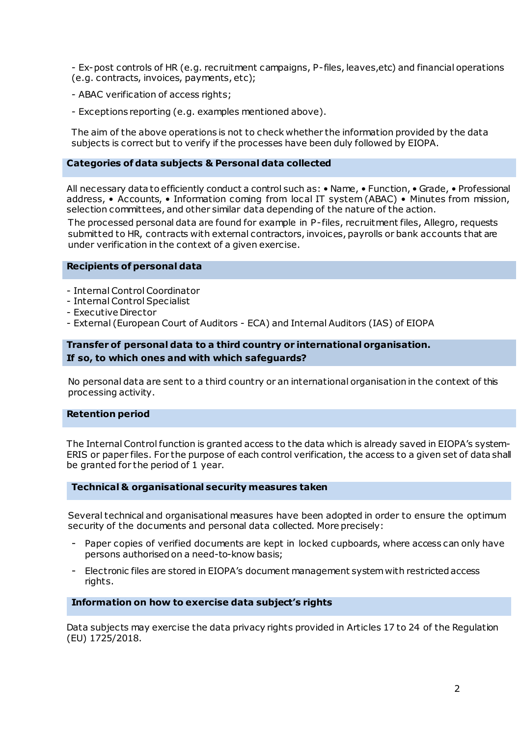- Ex-post controls of HR (e.g. recruitment campaigns, P-files, leaves,etc) and financial operations (e.g. contracts, invoices, payments, etc);

- ABAC verification of access rights;
- Exceptions reporting (e.g. examples mentioned above).

The aim of the above operations is not to check whether the information provided by the data subjects is correct but to verify if the processes have been duly followed by EIOPA.

#### **Categories of data subjects & Personal data collected**

All necessary data to efficiently conduct a control such as: • Name, • Function, • Grade, • Professional address, • Accounts, • Information coming from local IT system (ABAC) • Minutes from mission, selection committees, and other similar data depending of the nature of the action.

The processed personal data are found for example in P-files, recruitment files, Allegro, requests submitted to HR, contracts with external contractors, invoices, payrolls or bank accounts that are under verification in the context of a given exercise.

#### **Recipients of personal data**

- Internal Control Coordinator
- Internal Control Specialist
- Executive Director
- External (European Court of Auditors ECA) and Internal Auditors (IAS) of EIOPA

## **Transfer of personal data to a third country or international organisation. If so, to which ones and with which safeguards?**

No personal data are sent to a third country or an international organisation in the context of this processing activity.

#### **Retention period**

The Internal Control function is granted access to the data which is already saved in EIOPA's system-ERIS or paper files. For the purpose of each control verification, the access to a given set of data shall be granted for the period of 1 year.

#### **Technical & organisational security measures taken**

Several technical and organisational measures have been adopted in order to ensure the optimum security of the documents and personal data collected. More precisely:

- Paper copies of verified documents are kept in locked cupboards, where access can only have persons authorised on a need-to-know basis;
- Electronic files are stored in EIOPA's document management systemwith restricted access rights.

#### **Information on how to exercise data subject's rights**

Data subjects may exercise the data privacy rights provided in Articles 17 to 24 of the Regulation (EU) 1725/2018.